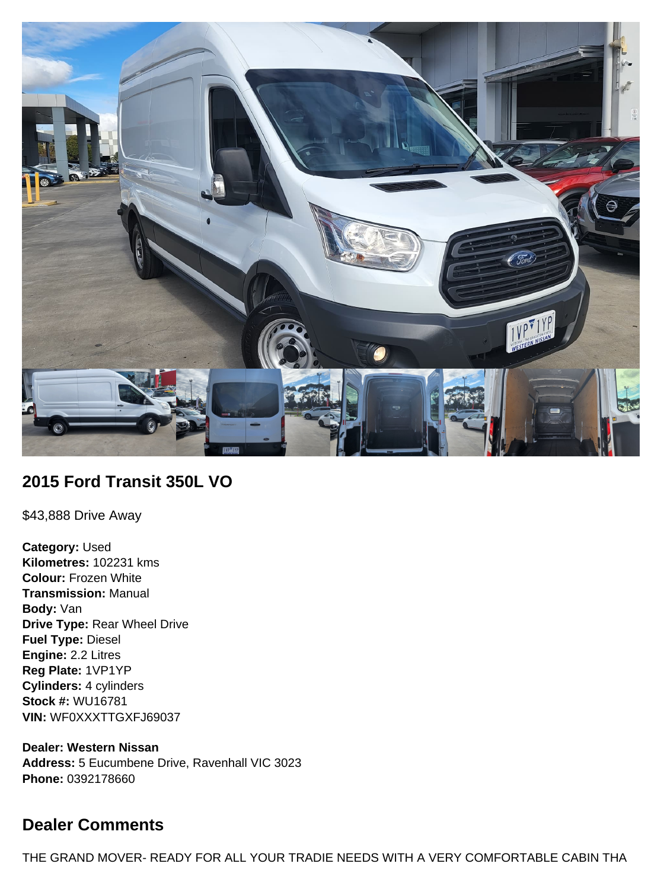

## **2015 Ford Transit 350L VO**

\$43,888 Drive Away

**Category:** Used **Kilometres:** 102231 kms **Colour:** Frozen White **Transmission:** Manual **Body:** Van **Drive Type:** Rear Wheel Drive **Fuel Type:** Diesel **Engine:** 2.2 Litres **Reg Plate:** 1VP1YP **Cylinders:** 4 cylinders **Stock #:** WU16781 **VIN:** WF0XXXTTGXFJ69037

**Dealer: Western Nissan Address:** 5 Eucumbene Drive, Ravenhall VIC 3023 **Phone:** 0392178660

# **Dealer Comments**

THE GRAND MOVER- READY FOR ALL YOUR TRADIE NEEDS WITH A VERY COMFORTABLE CABIN THA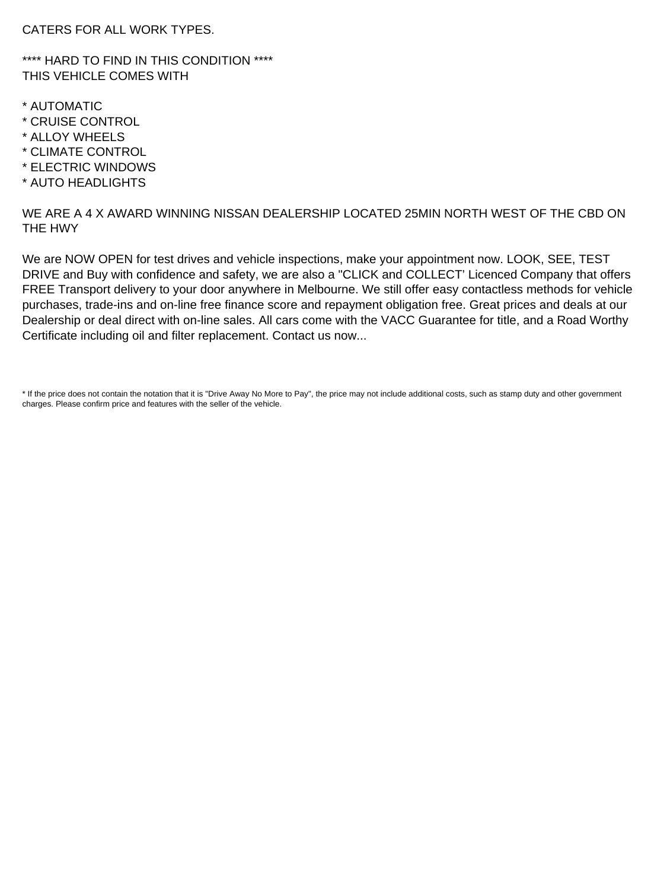CATERS FOR ALL WORK TYPES.

\*\*\*\* HARD TO FIND IN THIS CONDITION \*\*\*\* THIS VEHICLE COMES WITH

- \* AUTOMATIC
- \* CRUISE CONTROL
- \* ALLOY WHEELS
- \* CLIMATE CONTROL
- \* ELECTRIC WINDOWS
- \* AUTO HEADLIGHTS

WE ARE A 4 X AWARD WINNING NISSAN DEALERSHIP LOCATED 25MIN NORTH WEST OF THE CBD ON THE HWY

We are NOW OPEN for test drives and vehicle inspections, make your appointment now. LOOK, SEE, TEST DRIVE and Buy with confidence and safety, we are also a "CLICK and COLLECT' Licenced Company that offers FREE Transport delivery to your door anywhere in Melbourne. We still offer easy contactless methods for vehicle purchases, trade-ins and on-line free finance score and repayment obligation free. Great prices and deals at our Dealership or deal direct with on-line sales. All cars come with the VACC Guarantee for title, and a Road Worthy Certificate including oil and filter replacement. Contact us now...

\* If the price does not contain the notation that it is "Drive Away No More to Pay", the price may not include additional costs, such as stamp duty and other government charges. Please confirm price and features with the seller of the vehicle.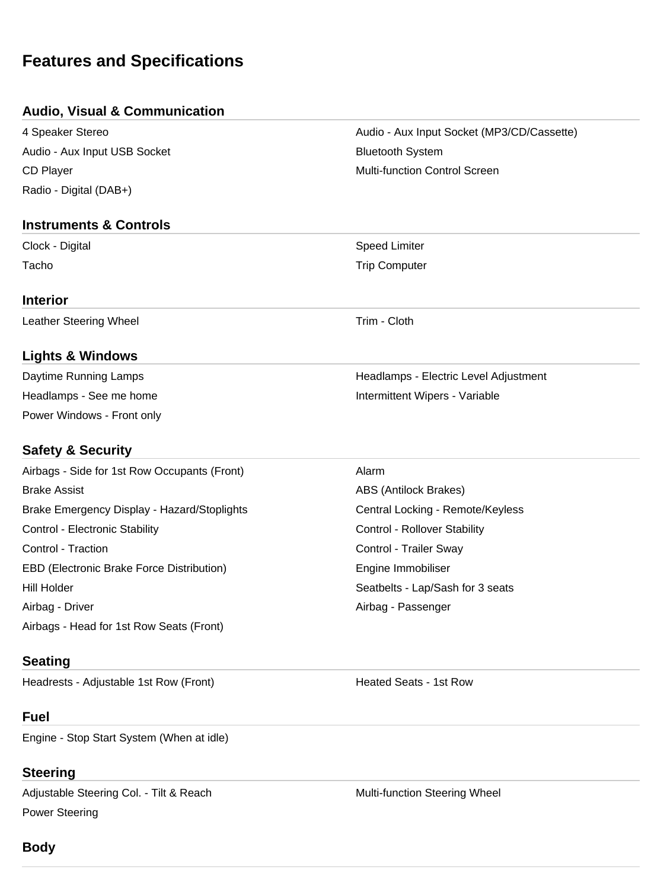# **Features and Specifications**

## **Audio, Visual & Communication**

Audio - Aux Input USB Socket Bluetooth System CD Player **Multi-function Control Screen** Multi-function Control Screen Radio - Digital (DAB+)

### **Instruments & Controls**

Clock - Digital Speed Limiter

#### **Interior**

Leather Steering Wheel **Trim** - Cloth

## **Lights & Windows**

Power Windows - Front only

## **Safety & Security**

Airbags - Side for 1st Row Occupants (Front) Alarm Brake Assist **ABS (Antilock Brakes)** ABS (Antilock Brakes) Brake Emergency Display - Hazard/Stoplights Central Locking - Remote/Keyless Control - Electronic Stability **Control - Rollover Stability** Control - Rollover Stability Control - Traction Control - Trailer Sway EBD (Electronic Brake Force Distribution) The Engine Immobiliser Hill Holder **Seatbelts - Lap/Sash for 3 seats** Seatbelts - Lap/Sash for 3 seats Airbag - Driver **Airbag - Passenger** Airbag - Passenger Airbags - Head for 1st Row Seats (Front)

## **Seating**

Headrests - Adjustable 1st Row (Front) The Meated Seats - 1st Row

## **Fuel**

Engine - Stop Start System (When at idle)

## **Steering**

Adjustable Steering Col. - Tilt & Reach Multi-function Steering Wheel Power Steering

4 Speaker Stereo Audio - Aux Input Socket (MP3/CD/Cassette)

Tacho **Trip Computer** Trip Computer

Daytime Running Lamps **Headlamps - Electric Level Adjustment** Company Adjustment Headlamps - See me home **Intermittent Wipers** - Variable

## **Body**